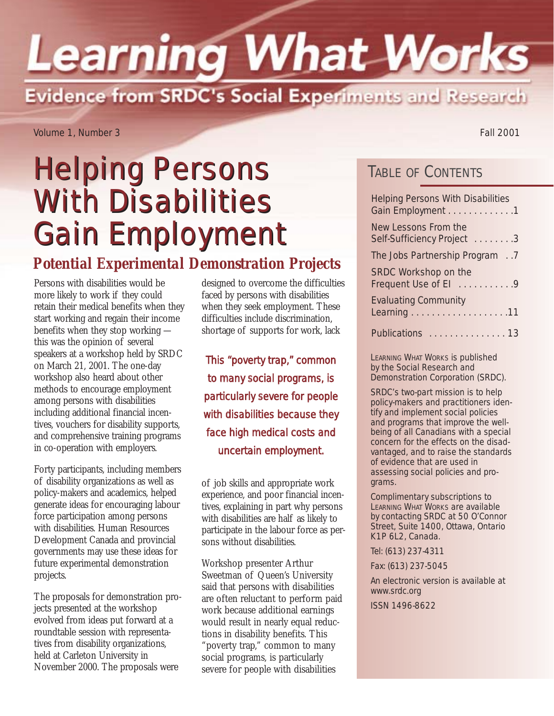# **Learning What Works** Evidence from SRDC's Social Experiments and Research

Volume 1, Number 3 Fall 2001

## Helping Persons Helping Persons With Disabilities With Disabilities Gain Employment

### *Potential Experimental Demonstration Projects*

Persons with disabilities would be more likely to work if they could retain their medical benefits when they start working and regain their income benefits when they stop working this was the opinion of several speakers at a workshop held by SRDC on March 21, 2001. The one-day workshop also heard about other methods to encourage employment among persons with disabilities including additional financial incentives, vouchers for disability supports, and comprehensive training programs in co-operation with employers.

Forty participants, including members of disability organizations as well as policy-makers and academics, helped generate ideas for encouraging labour force participation among persons with disabilities. Human Resources Development Canada and provincial governments may use these ideas for future experimental demonstration projects.

The proposals for demonstration projects presented at the workshop evolved from ideas put forward at a roundtable session with representatives from disability organizations, held at Carleton University in November 2000. The proposals were

designed to overcome the difficulties faced by persons with disabilities when they seek employment. These difficulties include discrimination, shortage of supports for work, lack

*This "poverty trap," common to many social programs, is particularly severe for people with disabilities because they face high medical costs and uncertain employment.*

of job skills and appropriate work experience, and poor financial incentives, explaining in part why persons with disabilities are half as likely to participate in the labour force as persons without disabilities.

Workshop presenter Arthur Sweetman of Queen's University said that persons with disabilities are often reluctant to perform paid work because additional earnings would result in nearly equal reductions in disability benefits. This "poverty trap," common to many social programs, is particularly severe for people with disabilities

TABLE OF CONTENTS

| <b>Helping Persons With Disabilities</b><br>Gain Employment 1 |  |
|---------------------------------------------------------------|--|
| New Lessons From the<br>Self-Sufficiency Project 3            |  |
| The Jobs Partnership Program 7                                |  |
| SRDC Workshop on the<br>Frequent Use of El 9                  |  |
| <b>Evaluating Community</b>                                   |  |
| Publications  13                                              |  |

LEARNING WHAT WORKS is published by the Social Research and Demonstration Corporation (SRDC).

SRDC's two-part mission is to help policy-makers and practitioners identify and implement social policies and programs that improve the wellbeing of all Canadians with a special concern for the effects on the disadvantaged, and to raise the standards of evidence that are used in assessing social policies and programs.

Complimentary subscriptions to LEARNING WHAT WORKS are available by contacting SRDC at 50 O'Connor Street, Suite 1400, Ottawa, Ontario K1P 6L2, Canada.

Tel: (613) 237-4311

Fax: (613) 237-5045

An electronic version is available at www.srdc.org

ISSN 1496-8622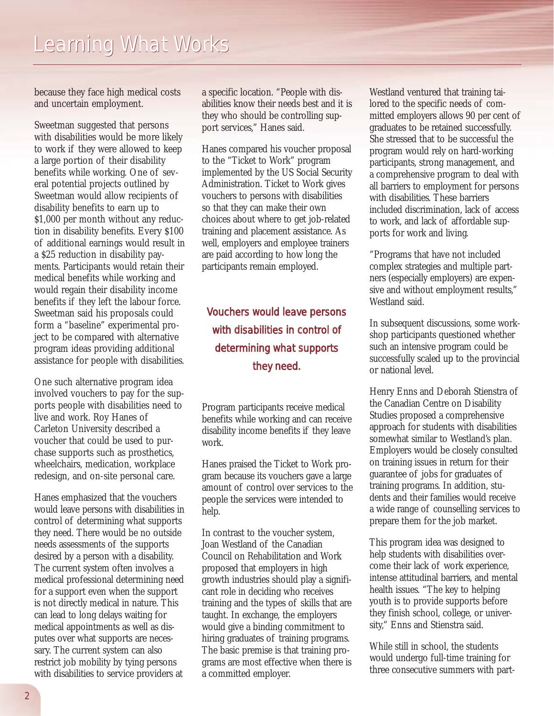because they face high medical costs and uncertain employment.

Sweetman suggested that persons with disabilities would be more likely to work if they were allowed to keep a large portion of their disability benefits while working. One of several potential projects outlined by Sweetman would allow recipients of disability benefits to earn up to \$1,000 per month without any reduction in disability benefits. Every \$100 of additional earnings would result in a \$25 reduction in disability payments. Participants would retain their medical benefits while working and would regain their disability income benefits if they left the labour force. Sweetman said his proposals could form a "baseline" experimental project to be compared with alternative program ideas providing additional assistance for people with disabilities.

One such alternative program idea involved vouchers to pay for the supports people with disabilities need to live and work. Roy Hanes of Carleton University described a voucher that could be used to purchase supports such as prosthetics, wheelchairs, medication, workplace redesign, and on-site personal care.

Hanes emphasized that the vouchers would leave persons with disabilities in control of determining what supports they need. There would be no outside needs assessments of the supports desired by a person with a disability. The current system often involves a medical professional determining need for a support even when the support is not directly medical in nature. This can lead to long delays waiting for medical appointments as well as disputes over what supports are necessary. The current system can also restrict job mobility by tying persons with disabilities to service providers at

a specific location. "People with disabilities know their needs best and it is they who should be controlling support services," Hanes said.

Hanes compared his voucher proposal to the "Ticket to Work" program implemented by the US Social Security Administration. Ticket to Work gives vouchers to persons with disabilities so that they can make their own choices about where to get job-related training and placement assistance. As well, employers and employee trainers are paid according to how long the participants remain employed.

### *Vouchers would leave persons with disabilities in control of determining what supports they need.*

Program participants receive medical benefits while working and can receive disability income benefits if they leave work.

Hanes praised the Ticket to Work program because its vouchers gave a large amount of control over services to the people the services were intended to help.

In contrast to the voucher system, Joan Westland of the Canadian Council on Rehabilitation and Work proposed that employers in high growth industries should play a significant role in deciding who receives training and the types of skills that are taught. In exchange, the employers would give a binding commitment to hiring graduates of training programs. The basic premise is that training programs are most effective when there is a committed employer.

Westland ventured that training tailored to the specific needs of committed employers allows 90 per cent of graduates to be retained successfully. She stressed that to be successful the program would rely on hard-working participants, strong management, and a comprehensive program to deal with all barriers to employment for persons with disabilities. These barriers included discrimination, lack of access to work, and lack of affordable supports for work and living.

"Programs that have not included complex strategies and multiple partners (especially employers) are expensive and without employment results," Westland said.

In subsequent discussions, some workshop participants questioned whether such an intensive program could be successfully scaled up to the provincial or national level.

Henry Enns and Deborah Stienstra of the Canadian Centre on Disability Studies proposed a comprehensive approach for students with disabilities somewhat similar to Westland's plan. Employers would be closely consulted on training issues in return for their guarantee of jobs for graduates of training programs. In addition, students and their families would receive a wide range of counselling services to prepare them for the job market.

This program idea was designed to help students with disabilities overcome their lack of work experience, intense attitudinal barriers, and mental health issues. "The key to helping youth is to provide supports before they finish school, college, or university," Enns and Stienstra said.

While still in school, the students would undergo full-time training for three consecutive summers with part-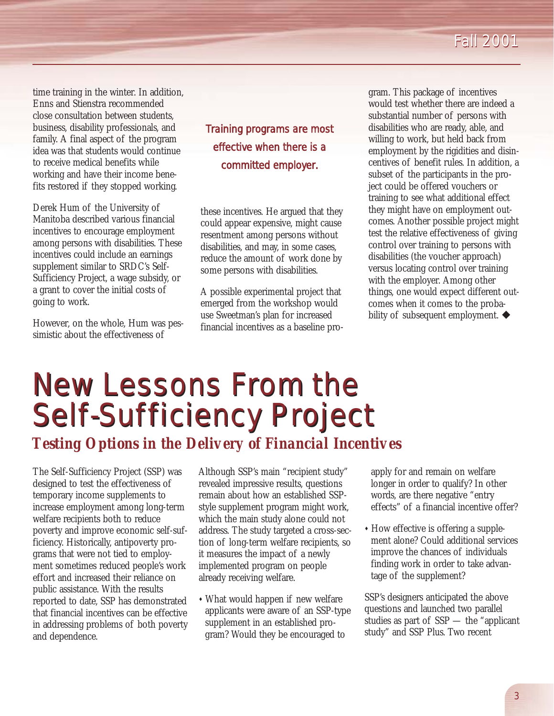### *Fall 2001 Fall 2001*

time training in the winter. In addition, Enns and Stienstra recommended close consultation between students, business, disability professionals, and family. A final aspect of the program idea was that students would continue to receive medical benefits while working and have their income benefits restored if they stopped working.

Derek Hum of the University of Manitoba described various financial incentives to encourage employment among persons with disabilities. These incentives could include an earnings supplement similar to SRDC's Self-Sufficiency Project, a wage subsidy, or a grant to cover the initial costs of going to work.

However, on the whole, Hum was pessimistic about the effectiveness of

*Training programs are most effective when there is a committed employer.*

these incentives. He argued that they could appear expensive, might cause resentment among persons without disabilities, and may, in some cases, reduce the amount of work done by some persons with disabilities.

A possible experimental project that emerged from the workshop would use Sweetman's plan for increased financial incentives as a baseline program. This package of incentives would test whether there are indeed a substantial number of persons with disabilities who are ready, able, and willing to work, but held back from employment by the rigidities and disincentives of benefit rules. In addition, a subset of the participants in the project could be offered vouchers or training to see what additional effect they might have on employment outcomes. Another possible project might test the relative effectiveness of giving control over training to persons with disabilities (the voucher approach) versus locating control over training with the employer. Among other things, one would expect different outcomes when it comes to the probability of subsequent employment.  $\blacklozenge$ 

## New Lessons From the New Lessons From the Self-Sufficiency Project Self-Sufficiency Project *Testing Options in the Delivery of Financial Incentives*

The Self-Sufficiency Project (SSP) was designed to test the effectiveness of temporary income supplements to increase employment among long-term welfare recipients both to reduce poverty and improve economic self-sufficiency. Historically, antipoverty programs that were not tied to employment sometimes reduced people's work effort and increased their reliance on public assistance. With the results reported to date, SSP has demonstrated that financial incentives can be effective in addressing problems of both poverty and dependence.

Although SSP's main "recipient study" revealed impressive results, questions remain about how an established SSPstyle supplement program might work, which the main study alone could not address. The study targeted a cross-section of long-term welfare recipients, so it measures the impact of a newly implemented program on people already receiving welfare.

• What would happen if new welfare applicants were aware of an SSP-type supplement in an established program? Would they be encouraged to

apply for and remain on welfare longer in order to qualify? In other words, are there negative "entry effects" of a financial incentive offer?

• How effective is offering a supplement alone? Could additional services improve the chances of individuals finding work in order to take advantage of the supplement?

SSP's designers anticipated the above questions and launched two parallel studies as part of SSP — the "applicant study" and SSP Plus. Two recent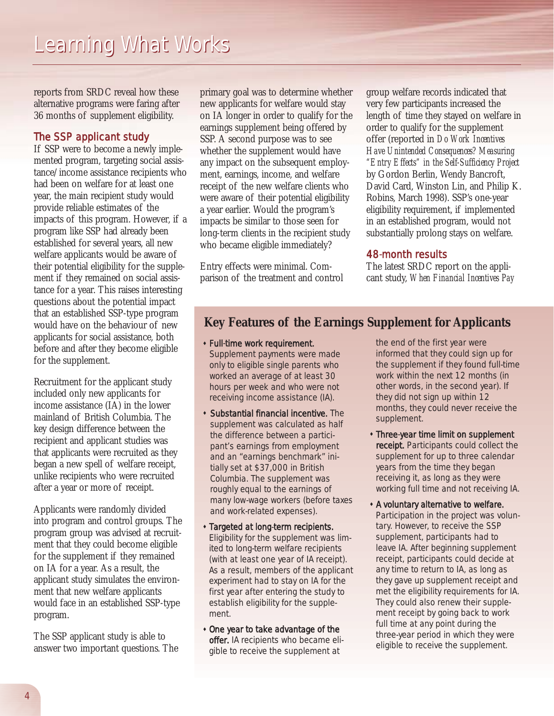reports from SRDC reveal how these alternative programs were faring after 36 months of supplement eligibility.

#### The SSP applicant study

If SSP were to become a newly implemented program, targeting social assistance/income assistance recipients who had been on welfare for at least one year, the main recipient study would provide reliable estimates of the impacts of this program. However, if a program like SSP had already been established for several years, all new welfare applicants would be aware of their potential eligibility for the supplement if they remained on social assistance for a year. This raises interesting questions about the potential impact that an established SSP-type program would have on the behaviour of new applicants for social assistance, both before and after they become eligible for the supplement.

Recruitment for the applicant study included only new applicants for income assistance (IA) in the lower mainland of British Columbia. The key design difference between the recipient and applicant studies was that applicants were recruited as they began a new spell of welfare receipt, unlike recipients who were recruited after a year or more of receipt.

Applicants were randomly divided into program and control groups. The program group was advised at recruitment that they could become eligible for the supplement if they remained on IA for a year. As a result, the applicant study simulates the environment that new welfare applicants would face in an established SSP-type program.

The SSP applicant study is able to answer two important questions. The primary goal was to determine whether new applicants for welfare would stay on IA longer in order to qualify for the earnings supplement being offered by SSP. A second purpose was to see whether the supplement would have any impact on the subsequent employment, earnings, income, and welfare receipt of the new welfare clients who were aware of their potential eligibility a year earlier. Would the program's impacts be similar to those seen for long-term clients in the recipient study who became eligible immediately?

Entry effects were minimal. Comparison of the treatment and control

group welfare records indicated that very few participants increased the length of time they stayed on welfare in order to qualify for the supplement offer (reported in *Do Work Incentives Have Unintended Consequences? Measuring "Entry Effects" in the Self-Sufficiency Project* by Gordon Berlin, Wendy Bancroft, David Card, Winston Lin, and Philip K. Robins, March 1998). SSP's one-year eligibility requirement, if implemented in an established program, would not substantially prolong stays on welfare.

#### 48-month results

The latest SRDC report on the applicant study, *When Financial Incentives Pay*

#### **Key Features of the Earnings Supplement for Applicants**

- **\* Full-time work requirement.** Supplement payments were made only to eligible single parents who worked an average of at least 30 hours per week and who were not receiving income assistance (IA).
- **\* Substantial financial incentive.** The supplement was calculated as half the difference between a participant's earnings from employment and an "earnings benchmark" initially set at \$37,000 in British Columbia. The supplement was roughly equal to the earnings of many low-wage workers (before taxes and work-related expenses).
- **\* Targeted at long-term recipients.** Eligibility for the supplement was limited to long-term welfare recipients (with at least one year of IA receipt). As a result, members of the applicant experiment had to stay on IA for the first year after entering the study to establish eligibility for the supplement.
- One year to take advantage of the offer. IA recipients who became eligible to receive the supplement at

the end of the first year were informed that they could sign up for the supplement if they found full-time work within the next 12 months (in other words, in the second year). If they did not sign up within 12 months, they could never receive the supplement.

- **\* Three-year time limit on supplement** receipt. Participants could collect the supplement for up to three calendar years from the time they began receiving it, as long as they were working full time and not receiving IA.
- " A voluntary alternative to welfare. Participation in the project was voluntary. However, to receive the SSP supplement, participants had to leave IA. After beginning supplement receipt, participants could decide at any time to return to IA, as long as they gave up supplement receipt and met the eligibility requirements for IA. They could also renew their supplement receipt by going back to work full time at any point during the three-year period in which they were eligible to receive the supplement.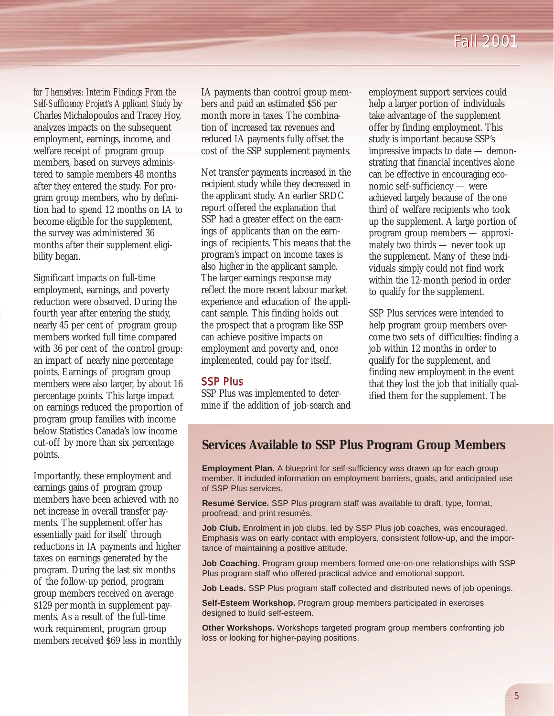*for Themselves: Interim Findings From the Self-Sufficiency Project's Applicant Study* by Charles Michalopoulos and Tracey Hoy, analyzes impacts on the subsequent employment, earnings, income, and welfare receipt of program group members, based on surveys administered to sample members 48 months after they entered the study. For program group members, who by definition had to spend 12 months on IA to become eligible for the supplement, the survey was administered 36 months after their supplement eligibility began.

Significant impacts on full-time employment, earnings, and poverty reduction were observed. During the fourth year after entering the study, nearly 45 per cent of program group members worked full time compared with 36 per cent of the control group: an impact of nearly nine percentage points. Earnings of program group members were also larger, by about 16 percentage points. This large impact on earnings reduced the proportion of program group families with income below Statistics Canada's low income cut-off by more than six percentage points.

Importantly, these employment and earnings gains of program group members have been achieved with no net increase in overall transfer payments. The supplement offer has essentially paid for itself through reductions in IA payments and higher taxes on earnings generated by the program. During the last six months of the follow-up period, program group members received on average \$129 per month in supplement payments. As a result of the full-time work requirement, program group members received \$69 less in monthly IA payments than control group members and paid an estimated \$56 per month more in taxes. The combination of increased tax revenues and reduced IA payments fully offset the cost of the SSP supplement payments.

Net transfer payments increased in the recipient study while they decreased in the applicant study. An earlier SRDC report offered the explanation that SSP had a greater effect on the earnings of applicants than on the earnings of recipients. This means that the program's impact on income taxes is also higher in the applicant sample. The larger earnings response may reflect the more recent labour market experience and education of the applicant sample. This finding holds out the prospect that a program like SSP can achieve positive impacts on employment and poverty and, once implemented, could pay for itself.

#### SSP Plus

SSP Plus was implemented to determine if the addition of job-search and employment support services could help a larger portion of individuals take advantage of the supplement offer by finding employment. This study is important because SSP's impressive impacts to date — demonstrating that financial incentives alone can be effective in encouraging economic self-sufficiency — were achieved largely because of the one third of welfare recipients who took up the supplement. A large portion of program group members — approximately two thirds — never took up the supplement. Many of these individuals simply could not find work within the 12-month period in order to qualify for the supplement.

SSP Plus services were intended to help program group members overcome two sets of difficulties: finding a job within 12 months in order to qualify for the supplement, and finding new employment in the event that they lost the job that initially qualified them for the supplement. The

#### **Services Available to SSP Plus Program Group Members**

**Employment Plan.** A blueprint for self-sufficiency was drawn up for each group member. It included information on employment barriers, goals, and anticipated use of SSP Plus services.

**Resumé Service.** SSP Plus program staff was available to draft, type, format, proofread, and print resumés.

**Job Club.** Enrolment in job clubs, led by SSP Plus job coaches, was encouraged. Emphasis was on early contact with employers, consistent follow-up, and the importance of maintaining a positive attitude.

**Job Coaching.** Program group members formed one-on-one relationships with SSP Plus program staff who offered practical advice and emotional support.

**Job Leads.** SSP Plus program staff collected and distributed news of job openings.

**Self-Esteem Workshop.** Program group members participated in exercises designed to build self-esteem.

**Other Workshops.** Workshops targeted program group members confronting job loss or looking for higher-paying positions.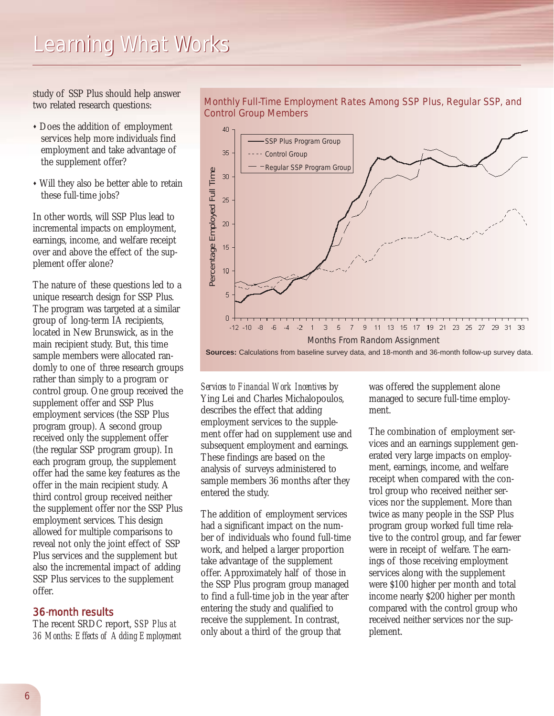study of SSP Plus should help answer two related research questions:

- Does the addition of employment services help more individuals find employment and take advantage of the supplement offer?
- Will they also be better able to retain these full-time jobs?

In other words, will SSP Plus lead to incremental impacts on employment, earnings, income, and welfare receipt over and above the effect of the supplement offer alone?

The nature of these questions led to a unique research design for SSP Plus. The program was targeted at a similar group of long-term IA recipients, located in New Brunswick, as in the main recipient study. But, this time sample members were allocated randomly to one of three research groups rather than simply to a program or control group. One group received the supplement offer and SSP Plus employment services (the SSP Plus program group). A second group received only the supplement offer (the regular SSP program group). In each program group, the supplement offer had the same key features as the offer in the main recipient study. A third control group received neither the supplement offer nor the SSP Plus employment services. This design allowed for multiple comparisons to reveal not only the joint effect of SSP Plus services and the supplement but also the incremental impact of adding SSP Plus services to the supplement offer.

#### 36-month results

The recent SRDC report, *SSP Plus at 36 Months: Effects of Adding Employment*



#### Monthly Full-Time Employment Rates Among SSP Plus, Regular SSP, and Control Group Members

*Services to Financial Work Incentives* by Ying Lei and Charles Michalopoulos, describes the effect that adding employment services to the supplement offer had on supplement use and subsequent employment and earnings. These findings are based on the analysis of surveys administered to sample members 36 months after they entered the study.

The addition of employment services had a significant impact on the number of individuals who found full-time work, and helped a larger proportion take advantage of the supplement offer. Approximately half of those in the SSP Plus program group managed to find a full-time job in the year after entering the study and qualified to receive the supplement. In contrast, only about a third of the group that

was offered the supplement alone managed to secure full-time employment.

The combination of employment services and an earnings supplement generated very large impacts on employment, earnings, income, and welfare receipt when compared with the control group who received neither services nor the supplement. More than twice as many people in the SSP Plus program group worked full time relative to the control group, and far fewer were in receipt of welfare. The earnings of those receiving employment services along with the supplement were \$100 higher per month and total income nearly \$200 higher per month compared with the control group who received neither services nor the supplement.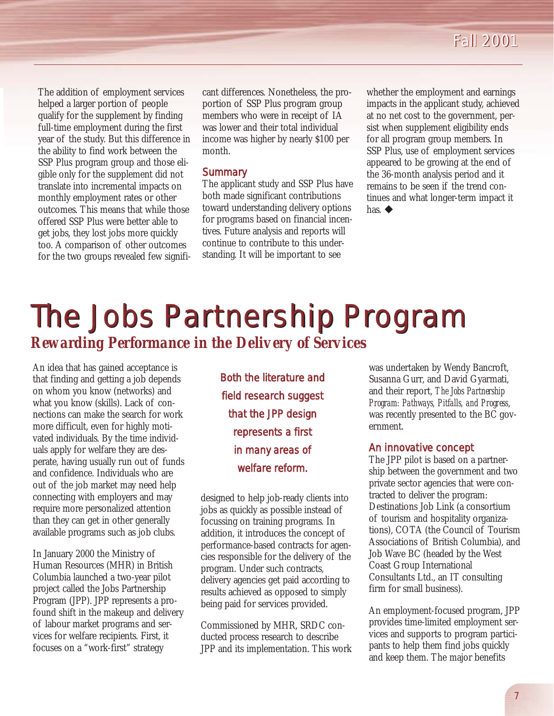The addition of employment services helped a larger portion of people qualify for the supplement by finding full-time employment during the first year of the study. But this difference in the ability to find work between the SSP Plus program group and those eligible only for the supplement did not translate into incremental impacts on monthly employment rates or other outcomes. This means that while those offered SSP Plus were better able to get jobs, they lost jobs more quickly too. A comparison of other outcomes for the two groups revealed few signifi-

cant differences. Nonetheless, the proportion of SSP Plus program group members who were in receipt of IA was lower and their total individual income was higher by nearly \$100 per month.

#### **Summary**

The applicant study and SSP Plus have both made significant contributions toward understanding delivery options for programs based on financial incentives. Future analysis and reports will continue to contribute to this understanding. It will be important to see

whether the employment and earnings impacts in the applicant study, achieved at no net cost to the government, persist when supplement eligibility ends for all program group members. In SSP Plus, use of employment services appeared to be growing at the end of the 36-month analysis period and it remains to be seen if the trend continues and what longer-term impact it has.  $\blacklozenge$ 

## The Jobs Partnership Program *Rewarding Performance in the Delivery of Services*

An idea that has gained acceptance is that finding and getting a job depends on whom you know (networks) and what you know (skills). Lack of connections can make the search for work more difficult, even for highly motivated individuals. By the time individuals apply for welfare they are desperate, having usually run out of funds and confidence. Individuals who are out of the job market may need help connecting with employers and may require more personalized attention than they can get in other generally available programs such as job clubs.

In January 2000 the Ministry of Human Resources (MHR) in British Columbia launched a two-year pilot project called the Jobs Partnership Program (JPP). JPP represents a profound shift in the makeup and delivery of labour market programs and services for welfare recipients. First, it focuses on a "work-first" strategy

*Both the literature and field research suggest that the JPP design represents a first in many areas of welfare reform.*

designed to help job-ready clients into jobs as quickly as possible instead of focussing on training programs. In addition, it introduces the concept of performance-based contracts for agencies responsible for the delivery of the program. Under such contracts, delivery agencies get paid according to results achieved as opposed to simply being paid for services provided.

Commissioned by MHR, SRDC conducted process research to describe JPP and its implementation. This work

was undertaken by Wendy Bancroft, Susanna Gurr, and David Gyarmati, and their report, *The Jobs Partnership Program: Pathways, Pitfalls, and Progress*, was recently presented to the BC government.

#### An innovative concept

The JPP pilot is based on a partnership between the government and two private sector agencies that were contracted to deliver the program: Destinations Job Link (a consortium of tourism and hospitality organizations), COTA (the Council of Tourism Associations of British Columbia), and Job Wave BC (headed by the West Coast Group International Consultants Ltd., an IT consulting firm for small business).

An employment-focused program, JPP provides time-limited employment services and supports to program participants to help them find jobs quickly and keep them. The major benefits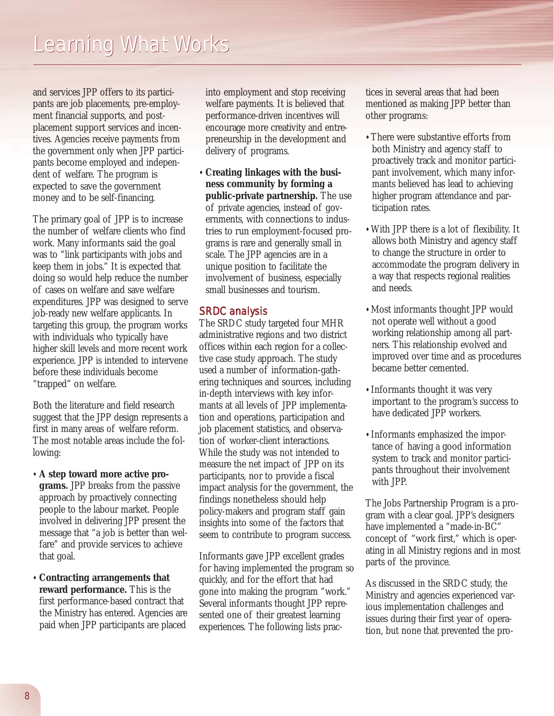and services JPP offers to its participants are job placements, pre-employment financial supports, and postplacement support services and incentives. Agencies receive payments from the government only when JPP participants become employed and independent of welfare. The program is expected to save the government money and to be self-financing.

The primary goal of JPP is to increase the number of welfare clients who find work. Many informants said the goal was to "link participants with jobs and keep them in jobs." It is expected that doing so would help reduce the number of cases on welfare and save welfare expenditures. JPP was designed to serve job-ready new welfare applicants. In targeting this group, the program works with individuals who typically have higher skill levels and more recent work experience. JPP is intended to intervene before these individuals become "trapped" on welfare.

Both the literature and field research suggest that the JPP design represents a first in many areas of welfare reform. The most notable areas include the following:

- " **A step toward more active programs.** JPP breaks from the passive approach by proactively connecting people to the labour market. People involved in delivering JPP present the message that "a job is better than welfare" and provide services to achieve that goal.
- " **Contracting arrangements that reward performance.** This is the first performance-based contract that the Ministry has entered. Agencies are paid when JPP participants are placed

into employment and stop receiving welfare payments. It is believed that performance-driven incentives will encourage more creativity and entrepreneurship in the development and delivery of programs.

" **Creating linkages with the business community by forming a public-private partnership.** The use of private agencies, instead of governments, with connections to industries to run employment-focused programs is rare and generally small in scale. The JPP agencies are in a unique position to facilitate the involvement of business, especially small businesses and tourism.

#### SRDC analysis

The SRDC study targeted four MHR administrative regions and two district offices within each region for a collective case study approach. The study used a number of information-gathering techniques and sources, including in-depth interviews with key informants at all levels of JPP implementation and operations, participation and job placement statistics, and observation of worker-client interactions. While the study was not intended to measure the net impact of JPP on its participants, nor to provide a fiscal impact analysis for the government, the findings nonetheless should help policy-makers and program staff gain insights into some of the factors that seem to contribute to program success.

Informants gave JPP excellent grades for having implemented the program so quickly, and for the effort that had gone into making the program "work." Several informants thought JPP represented one of their greatest learning experiences. The following lists practices in several areas that had been mentioned as making JPP better than other programs:

- . There were substantive efforts from both Ministry and agency staff to proactively track and monitor participant involvement, which many informants believed has lead to achieving higher program attendance and participation rates.
- "With JPP there is a lot of flexibility. It allows both Ministry and agency staff to change the structure in order to accommodate the program delivery in a way that respects regional realities and needs.
- "Most informants thought JPP would not operate well without a good working relationship among all partners. This relationship evolved and improved over time and as procedures became better cemented.
- Informants thought it was very important to the program's success to have dedicated JPP workers.
- " Informants emphasized the importance of having a good information system to track and monitor participants throughout their involvement with JPP.

The Jobs Partnership Program is a program with a clear goal. JPP's designers have implemented a "made-in-BC" concept of "work first," which is operating in all Ministry regions and in most parts of the province.

As discussed in the SRDC study, the Ministry and agencies experienced various implementation challenges and issues during their first year of operation, but none that prevented the pro-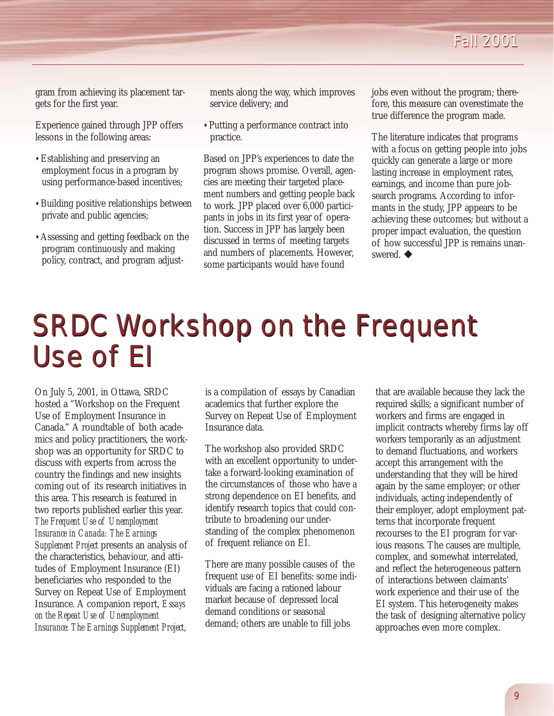### *Fall 2001 Fall 2001*

gram from achieving its placement targets for the first year.

Experience gained through JPP offers lessons in the following areas:

- "Establishing and preserving an employment focus in a program by using performance-based incentives;
- **\* Building positive relationships between** private and public agencies;
- "Assessing and getting feedback on the program continuously and making policy, contract, and program adjust-

ments along the way, which improves service delivery; and

"Putting a performance contract into practice.

Based on JPP's experiences to date the program shows promise. Overall, agencies are meeting their targeted placement numbers and getting people back to work. JPP placed over 6,000 participants in jobs in its first year of operation. Success in JPP has largely been discussed in terms of meeting targets and numbers of placements. However, some participants would have found

jobs even without the program; therefore, this measure can overestimate the true difference the program made.

The literature indicates that programs with a focus on getting people into jobs quickly can generate a large or more lasting increase in employment rates, earnings, and income than pure jobsearch programs. According to informants in the study, JPP appears to be achieving these outcomes; but without a proper impact evaluation, the question of how successful JPP is remains unanswered.  $\blacklozenge$ 

## SRDC Workshop on the Frequent SRDC Workshop on the Frequent Use of EI Use of EI

On July 5, 2001, in Ottawa, SRDC hosted a "Workshop on the Frequent Use of Employment Insurance in Canada." A roundtable of both academics and policy practitioners, the workshop was an opportunity for SRDC to discuss with experts from across the country the findings and new insights coming out of its research initiatives in this area. This research is featured in two reports published earlier this year. *The Frequent Use of Unemployment Insurance in Canada: The Earnings Supplement Project* presents an analysis of the characteristics, behaviour, and attitudes of Employment Insurance (EI) beneficiaries who responded to the Survey on Repeat Use of Employment Insurance. A companion report, *Essays on the Repeat Use of Unemployment Insurance: The Earnings Supplement Project*,

is a compilation of essays by Canadian academics that further explore the Survey on Repeat Use of Employment Insurance data.

The workshop also provided SRDC with an excellent opportunity to undertake a forward-looking examination of the circumstances of those who have a strong dependence on EI benefits, and identify research topics that could contribute to broadening our understanding of the complex phenomenon of frequent reliance on EI.

There are many possible causes of the frequent use of EI benefits: some individuals are facing a rationed labour market because of depressed local demand conditions or seasonal demand; others are unable to fill jobs

that are available because they lack the required skills; a significant number of workers and firms are engaged in implicit contracts whereby firms lay off workers temporarily as an adjustment to demand fluctuations, and workers accept this arrangement with the understanding that they will be hired again by the same employer; or other individuals, acting independently of their employer, adopt employment patterns that incorporate frequent recourses to the EI program for various reasons. The causes are multiple, complex, and somewhat interrelated, and reflect the heterogeneous pattern of interactions between claimants' work experience and their use of the EI system. This heterogeneity makes the task of designing alternative policy approaches even more complex.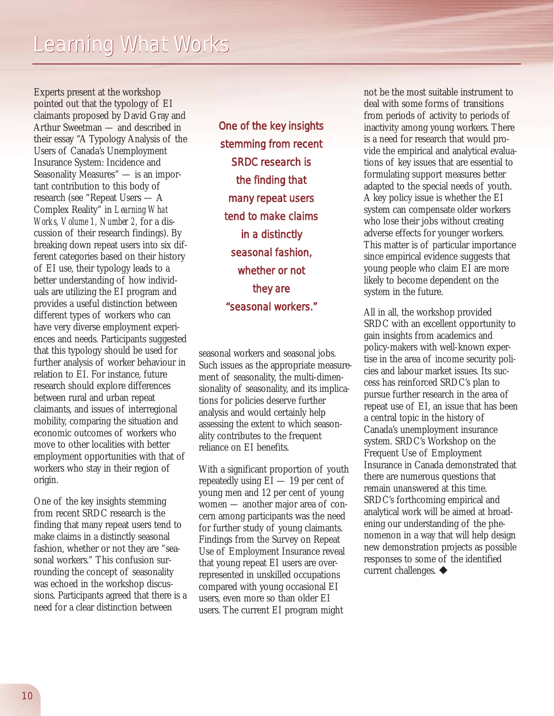Experts present at the workshop pointed out that the typology of EI claimants proposed by David Gray and Arthur Sweetman — and described in their essay "A Typology Analysis of the Users of Canada's Unemployment Insurance System: Incidence and Seasonality Measures" - is an important contribution to this body of research (see "Repeat Users — A Complex Reality" in *Learning What Works, Volume 1, Number 2,* for a discussion of their research findings). By breaking down repeat users into six different categories based on their history of EI use, their typology leads to a better understanding of how individuals are utilizing the EI program and provides a useful distinction between different types of workers who can have very diverse employment experiences and needs. Participants suggested that this typology should be used for further analysis of worker behaviour in relation to EI. For instance, future research should explore differences between rural and urban repeat claimants, and issues of interregional mobility, comparing the situation and economic outcomes of workers who move to other localities with better employment opportunities with that of workers who stay in their region of origin.

One of the key insights stemming from recent SRDC research is the finding that many repeat users tend to make claims in a distinctly seasonal fashion, whether or not they are "seasonal workers." This confusion surrounding the concept of seasonality was echoed in the workshop discussions. Participants agreed that there is a need for a clear distinction between

*One of the key insights stemming from recent SRDC research is the finding that many repeat users tend to make claims in a distinctly seasonal fashion, whether or not they are "seasonal workers."*

seasonal workers and seasonal jobs. Such issues as the appropriate measurement of seasonality, the multi-dimensionality of seasonality, and its implications for policies deserve further analysis and would certainly help assessing the extent to which seasonality contributes to the frequent reliance on EI benefits.

With a significant proportion of youth repeatedly using EI — 19 per cent of young men and 12 per cent of young women — another major area of concern among participants was the need for further study of young claimants. Findings from the Survey on Repeat Use of Employment Insurance reveal that young repeat EI users are overrepresented in unskilled occupations compared with young occasional EI users, even more so than older EI users. The current EI program might

not be the most suitable instrument to deal with some forms of transitions from periods of activity to periods of inactivity among young workers. There is a need for research that would provide the empirical and analytical evaluations of key issues that are essential to formulating support measures better adapted to the special needs of youth. A key policy issue is whether the EI system can compensate older workers who lose their jobs without creating adverse effects for younger workers. This matter is of particular importance since empirical evidence suggests that young people who claim EI are more likely to become dependent on the system in the future.

All in all, the workshop provided SRDC with an excellent opportunity to gain insights from academics and policy-makers with well-known expertise in the area of income security policies and labour market issues. Its success has reinforced SRDC's plan to pursue further research in the area of repeat use of EI, an issue that has been a central topic in the history of Canada's unemployment insurance system. SRDC's Workshop on the Frequent Use of Employment Insurance in Canada demonstrated that there are numerous questions that remain unanswered at this time. SRDC's forthcoming empirical and analytical work will be aimed at broadening our understanding of the phenomenon in a way that will help design new demonstration projects as possible responses to some of the identified current challenges.  $\blacklozenge$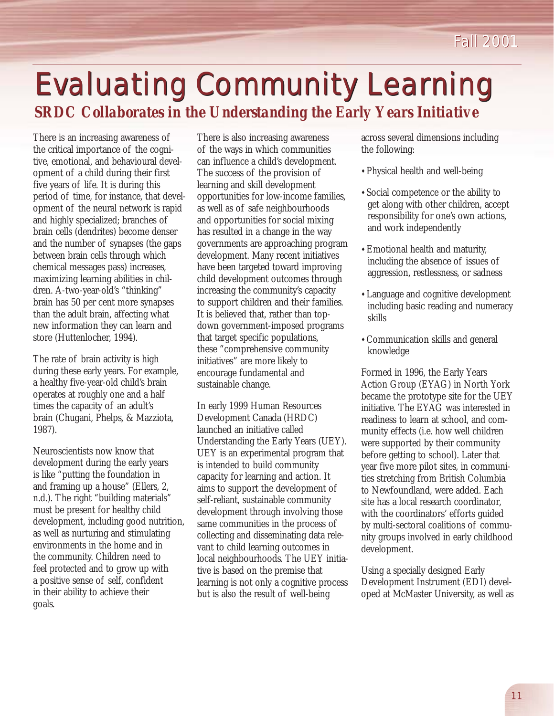## **Evaluating Community Learning** *SRDC Collaborates in the Understanding the Early Years Initiative*

There is an increasing awareness of the critical importance of the cognitive, emotional, and behavioural development of a child during their first five years of life. It is during this period of time, for instance, that development of the neural network is rapid and highly specialized; branches of brain cells (dendrites) become denser and the number of synapses (the gaps between brain cells through which chemical messages pass) increases, maximizing learning abilities in children. A-two-year-old's "thinking" brain has 50 per cent more synapses than the adult brain, affecting what new information they can learn and store (Huttenlocher, 1994).

The rate of brain activity is high during these early years. For example, a healthy five-year-old child's brain operates at roughly one and a half times the capacity of an adult's brain (Chugani, Phelps, & Mazziota, 1987).

Neuroscientists now know that development during the early years is like "putting the foundation in and framing up a house" (Ellers, 2, n.d.). The right "building materials" must be present for healthy child development, including good nutrition, as well as nurturing and stimulating environments in the home and in the community. Children need to feel protected and to grow up with a positive sense of self, confident in their ability to achieve their goals.

There is also increasing awareness of the ways in which communities can influence a child's development. The success of the provision of learning and skill development opportunities for low-income families, as well as of safe neighbourhoods and opportunities for social mixing has resulted in a change in the way governments are approaching program development. Many recent initiatives have been targeted toward improving child development outcomes through increasing the community's capacity to support children and their families. It is believed that, rather than topdown government-imposed programs that target specific populations, these "comprehensive community initiatives" are more likely to encourage fundamental and sustainable change.

In early 1999 Human Resources Development Canada (HRDC) launched an initiative called Understanding the Early Years (UEY). UEY is an experimental program that is intended to build community capacity for learning and action. It aims to support the development of self-reliant, sustainable community development through involving those same communities in the process of collecting and disseminating data relevant to child learning outcomes in local neighbourhoods. The UEY initiative is based on the premise that learning is not only a cognitive process but is also the result of well-being

across several dimensions including the following:

- "Physical health and well-being
- " Social competence or the ability to get along with other children, accept responsibility for one's own actions, and work independently
- **Emotional health and maturity,** including the absence of issues of aggression, restlessness, or sadness
- "Language and cognitive development including basic reading and numeracy skills
- "Communication skills and general knowledge

Formed in 1996, the Early Years Action Group (EYAG) in North York became the prototype site for the UEY initiative. The EYAG was interested in readiness to learn at school, and community effects (i.e. how well children were supported by their community before getting to school). Later that year five more pilot sites, in communities stretching from British Columbia to Newfoundland, were added. Each site has a local research coordinator, with the coordinators' efforts guided by multi-sectoral coalitions of community groups involved in early childhood development.

Using a specially designed Early Development Instrument (EDI) developed at McMaster University, as well as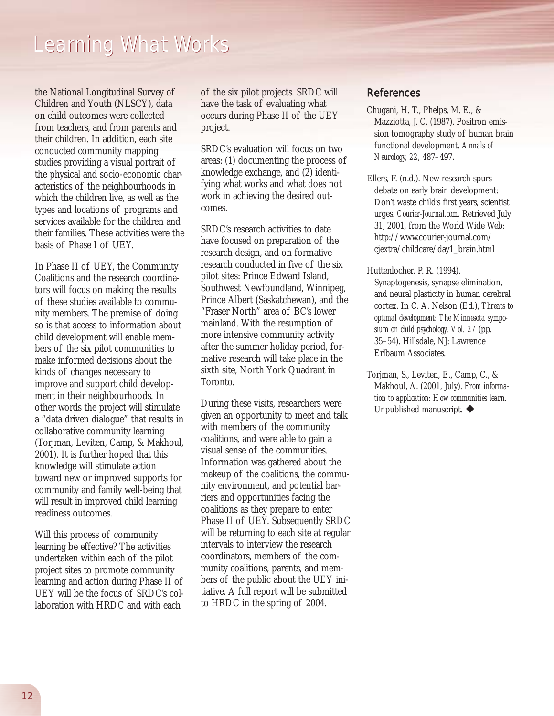the National Longitudinal Survey of Children and Youth (NLSCY), data on child outcomes were collected from teachers, and from parents and their children. In addition, each site conducted community mapping studies providing a visual portrait of the physical and socio-economic characteristics of the neighbourhoods in which the children live, as well as the types and locations of programs and services available for the children and their families. These activities were the basis of Phase I of UEY.

In Phase II of UEY, the Community Coalitions and the research coordinators will focus on making the results of these studies available to community members. The premise of doing so is that access to information about child development will enable members of the six pilot communities to make informed decisions about the kinds of changes necessary to improve and support child development in their neighbourhoods. In other words the project will stimulate a "data driven dialogue" that results in collaborative community learning (Torjman, Leviten, Camp, & Makhoul, 2001). It is further hoped that this knowledge will stimulate action toward new or improved supports for community and family well-being that will result in improved child learning readiness outcomes.

Will this process of community learning be effective? The activities undertaken within each of the pilot project sites to promote community learning and action during Phase II of UEY will be the focus of SRDC's collaboration with HRDC and with each

of the six pilot projects. SRDC will have the task of evaluating what occurs during Phase II of the UEY project.

SRDC's evaluation will focus on two areas: (1) documenting the process of knowledge exchange, and (2) identifying what works and what does not work in achieving the desired outcomes.

SRDC's research activities to date have focused on preparation of the research design, and on formative research conducted in five of the six pilot sites: Prince Edward Island, Southwest Newfoundland, Winnipeg, Prince Albert (Saskatchewan), and the "Fraser North" area of BC's lower mainland. With the resumption of more intensive community activity after the summer holiday period, formative research will take place in the sixth site, North York Quadrant in Toronto.

During these visits, researchers were given an opportunity to meet and talk with members of the community coalitions, and were able to gain a visual sense of the communities. Information was gathered about the makeup of the coalitions, the community environment, and potential barriers and opportunities facing the coalitions as they prepare to enter Phase II of UEY. Subsequently SRDC will be returning to each site at regular intervals to interview the research coordinators, members of the community coalitions, parents, and members of the public about the UEY initiative. A full report will be submitted to HRDC in the spring of 2004.

#### References

- Chugani, H. T., Phelps, M. E., & Mazziotta, J. C. (1987). Positron emission tomography study of human brain functional development. *Annals of Neurology, 22,* 487–497.
- Ellers, F. (n.d.). New research spurs debate on early brain development: Don't waste child's first years, scientist urges. *Courier-Journal.com.* Retrieved July 31, 2001, from the World Wide Web: http://www.courier-journal.com/ cjextra/childcare/day1\_brain.html
- Huttenlocher, P. R. (1994). Synaptogenesis, synapse elimination, and neural plasticity in human cerebral cortex. In C. A. Nelson (Ed.), *Threats to optimal development: The Minnesota symposium on child psychology, Vol. 27* (pp. 35–54). Hillsdale, NJ: Lawrence Erlbaum Associates.
- Torjman, S., Leviten, E., Camp, C., & Makhoul, A. (2001, July). *From information to application: How communities learn.* Unpublished manuscript.  $\blacklozenge$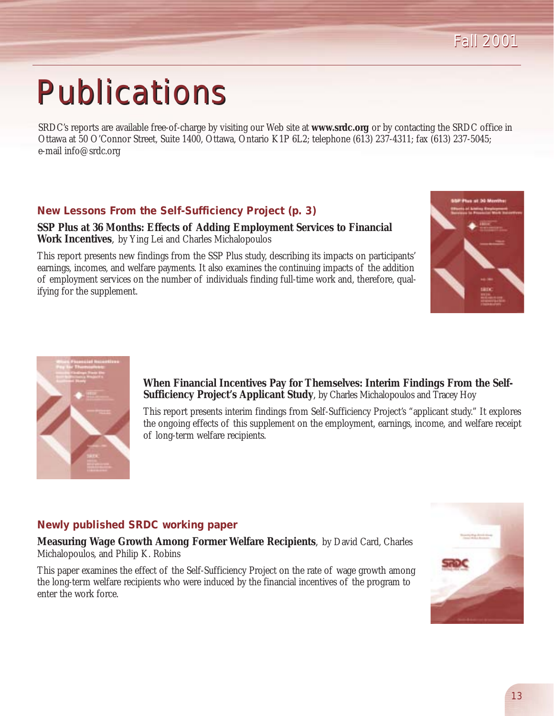# **Publications**

SRDC's reports are available free-of-charge by visiting our Web site at **www.srdc.org** or by contacting the SRDC office in Ottawa at 50 O'Connor Street, Suite 1400, Ottawa, Ontario K1P 6L2; telephone (613) 237-4311; fax (613) 237-5045; e-mail info@srdc.org

#### **New Lessons From the Self-Sufficiency Project (p. 3)**

**SSP Plus at 36 Months: Effects of Adding Employment Services to Financial Work Incentives**, by Ying Lei and Charles Michalopoulos

This report presents new findings from the SSP Plus study, describing its impacts on participants' earnings, incomes, and welfare payments. It also examines the continuing impacts of the addition of employment services on the number of individuals finding full-time work and, therefore, qualifying for the supplement.





**When Financial Incentives Pay for Themselves: Interim Findings From the Self-Sufficiency Project's Applicant Study**, by Charles Michalopoulos and Tracey Hoy

This report presents interim findings from Self-Sufficiency Project's "applicant study." It explores the ongoing effects of this supplement on the employment, earnings, income, and welfare receipt of long-term welfare recipients.

#### **Newly published SRDC working paper**

**Measuring Wage Growth Among Former Welfare Recipients**, by David Card, Charles Michalopoulos, and Philip K. Robins

This paper examines the effect of the Self-Sufficiency Project on the rate of wage growth among the long-term welfare recipients who were induced by the financial incentives of the program to enter the work force.